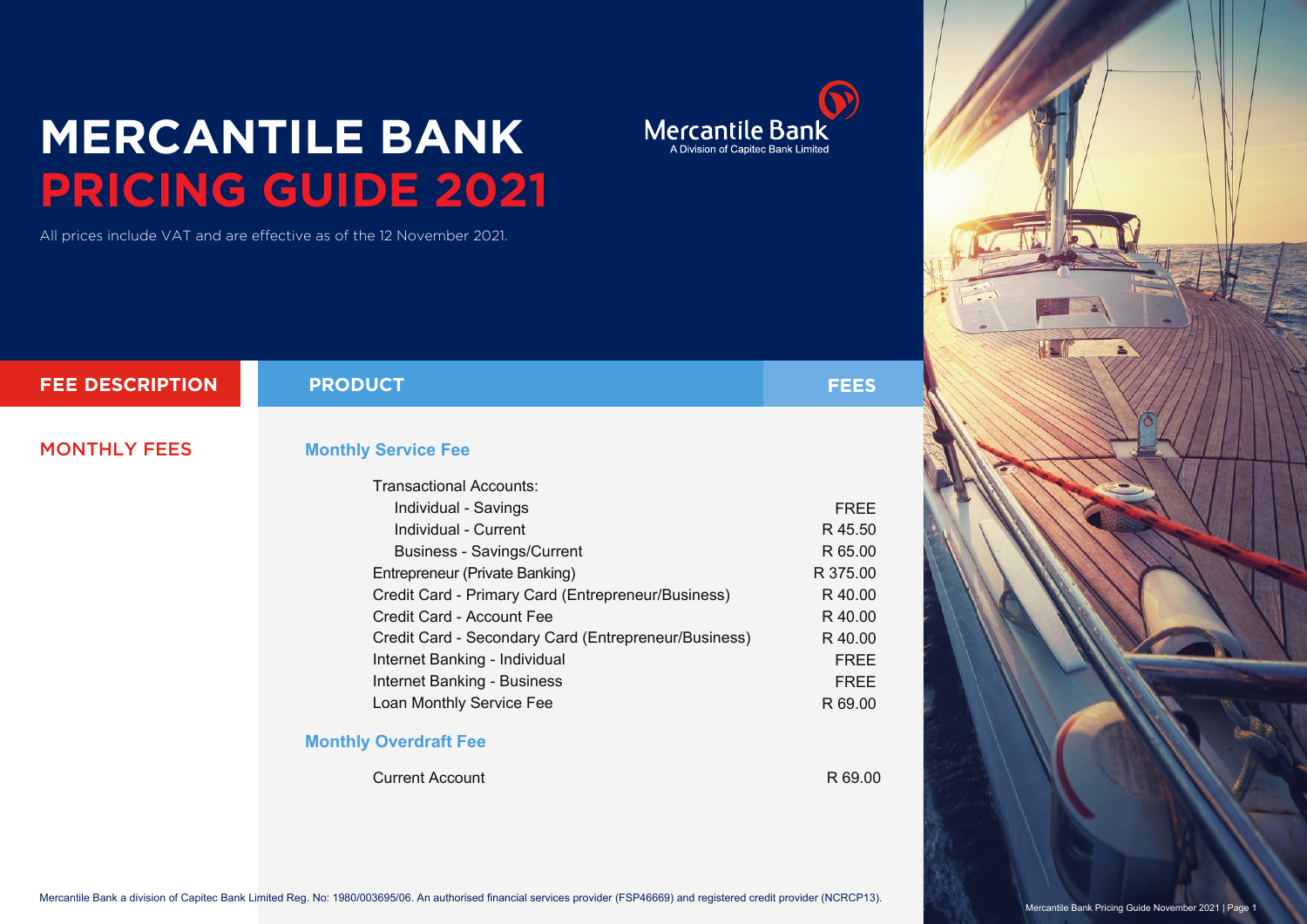## **MERCANTILE BANK PRICING GUIDE 2021**

All prices include VAT and are effective as of the 12 November 2021.

| <b>FEE DESCRIPTION</b> | <b>PRODUCT</b>                                               | FEES        |
|------------------------|--------------------------------------------------------------|-------------|
| <b>MONTHLY FEES</b>    | <b>Monthly Service Fee</b><br><b>Transactional Accounts:</b> |             |
|                        | Individual - Savings                                         | <b>FREE</b> |
|                        | Individual - Current                                         | R 45.50     |
|                        | <b>Business - Savings/Current</b>                            | R 65.00     |
|                        | Entrepreneur (Private Banking)                               | R 375.00    |
|                        | Credit Card - Primary Card (Entrepreneur/Business)           | R 40.00     |
|                        | Credit Card - Account Fee                                    | R 40.00     |
|                        | Credit Card - Secondary Card (Entrepreneur/Business)         | R 40.00     |
|                        | Internet Banking - Individual                                | <b>FREE</b> |
|                        | Internet Banking - Business                                  | <b>FREE</b> |
|                        | Loan Monthly Service Fee                                     | R 69.00     |
|                        | <b>Monthly Overdraft Fee</b>                                 |             |
|                        | <b>Current Account</b>                                       | R 69.00     |





 $\bigodot$ 

Mercantile Bank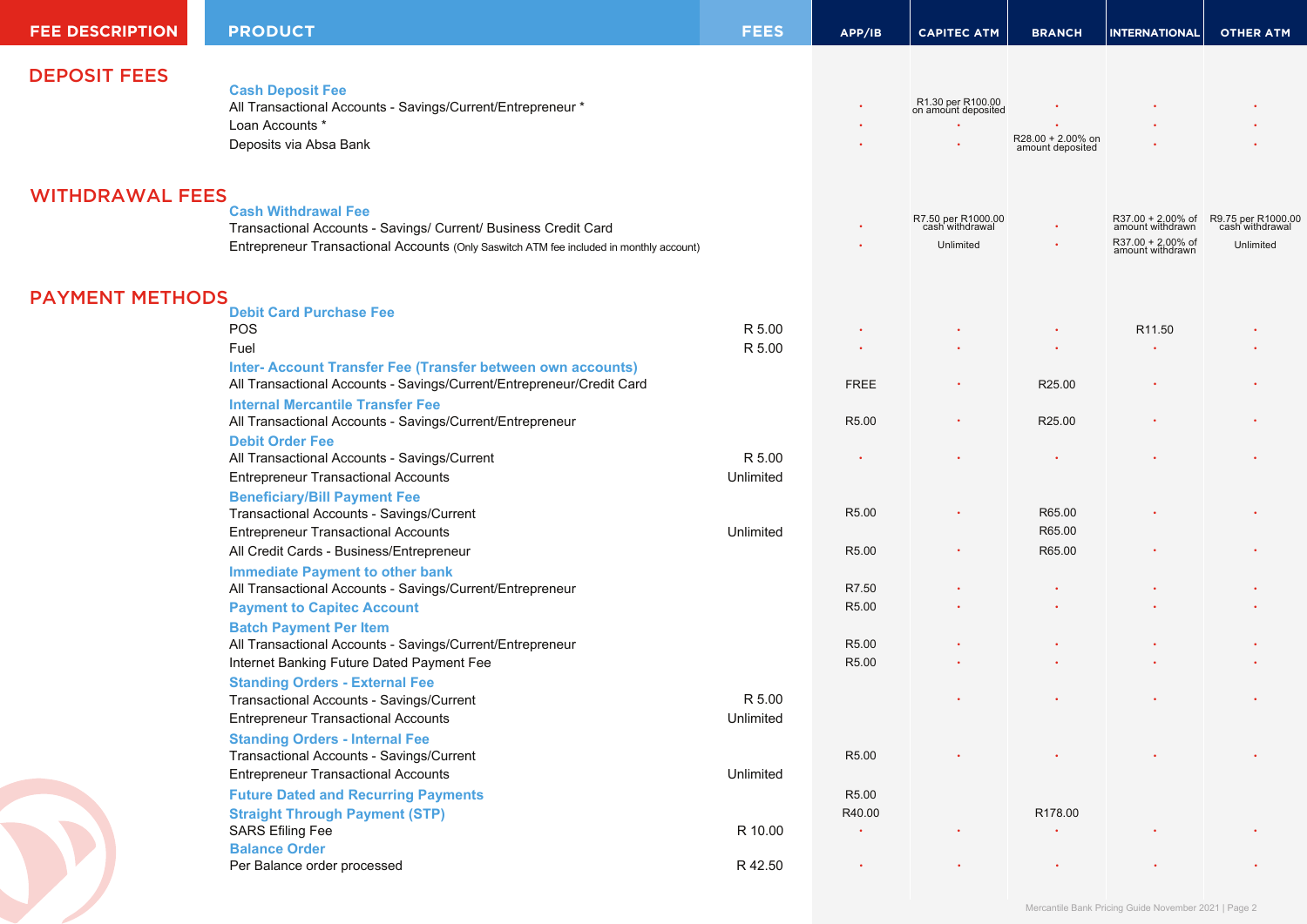| <b>FEE DESCRIPTION</b> | <b>PRODUCT</b>                                                                                      | <b>FEES</b> | APP/IB            | <b>CAPITEC ATM</b>                       | <b>BRANCH</b>     | <b>INTERNATIONAL</b>                  | <b>OTHER ATM</b>                      |
|------------------------|-----------------------------------------------------------------------------------------------------|-------------|-------------------|------------------------------------------|-------------------|---------------------------------------|---------------------------------------|
| <b>DEPOSIT FEES</b>    |                                                                                                     |             |                   |                                          |                   |                                       |                                       |
|                        | <b>Cash Deposit Fee</b>                                                                             |             |                   |                                          |                   |                                       |                                       |
|                        | All Transactional Accounts - Savings/Current/Entrepreneur *                                         |             |                   | R1.30 per R100.00<br>on amount deposited |                   |                                       |                                       |
|                        | Loan Accounts *                                                                                     |             |                   |                                          | R28.00 + 2.00% on |                                       |                                       |
|                        | Deposits via Absa Bank                                                                              |             |                   |                                          | amount deposited  |                                       |                                       |
|                        |                                                                                                     |             |                   |                                          |                   |                                       |                                       |
| <b>WITHDRAWAL FEES</b> | <b>Cash Withdrawal Fee</b>                                                                          |             |                   |                                          |                   |                                       |                                       |
|                        | Transactional Accounts - Savings/ Current/ Business Credit Card                                     |             |                   | R7.50 per R1000.00<br>cash withdrawal    |                   | R37.00 + 2.00% of<br>amount withdrawn | R9.75 per R1000.00<br>cash withdrawal |
|                        | Entrepreneur Transactional Accounts (Only Saswitch ATM fee included in monthly account)             |             |                   | Unlimited                                |                   | R37.00 + 2.00% of<br>amount withdrawn | Unlimited                             |
|                        |                                                                                                     |             |                   |                                          |                   |                                       |                                       |
| <b>PAYMENT METHODS</b> |                                                                                                     |             |                   |                                          |                   |                                       |                                       |
|                        | <b>Debit Card Purchase Fee</b><br>POS                                                               | R 5.00      |                   |                                          |                   | R <sub>11.50</sub>                    |                                       |
|                        | Fuel                                                                                                | R 5.00      |                   |                                          |                   |                                       |                                       |
|                        | Inter- Account Transfer Fee (Transfer between own accounts)                                         |             |                   |                                          |                   |                                       |                                       |
|                        | All Transactional Accounts - Savings/Current/Entrepreneur/Credit Card                               |             | <b>FREE</b>       |                                          | R25.00            |                                       |                                       |
|                        | <b>Internal Mercantile Transfer Fee</b>                                                             |             |                   |                                          |                   |                                       |                                       |
|                        | All Transactional Accounts - Savings/Current/Entrepreneur                                           |             | R <sub>5.00</sub> |                                          | R25.00            |                                       |                                       |
|                        | <b>Debit Order Fee</b>                                                                              |             |                   |                                          |                   |                                       |                                       |
|                        | All Transactional Accounts - Savings/Current                                                        | R 5.00      |                   |                                          |                   |                                       |                                       |
|                        | <b>Entrepreneur Transactional Accounts</b>                                                          | Unlimited   |                   |                                          |                   |                                       |                                       |
|                        | <b>Beneficiary/Bill Payment Fee</b><br>Transactional Accounts - Savings/Current                     |             | R5.00             |                                          | R65.00            |                                       |                                       |
|                        | <b>Entrepreneur Transactional Accounts</b>                                                          | Unlimited   |                   |                                          | R65.00            |                                       |                                       |
|                        | All Credit Cards - Business/Entrepreneur                                                            |             | R5.00             |                                          | R65.00            |                                       |                                       |
|                        |                                                                                                     |             |                   |                                          |                   |                                       |                                       |
|                        | <b>Immediate Payment to other bank</b><br>All Transactional Accounts - Savings/Current/Entrepreneur |             | R7.50             |                                          |                   |                                       |                                       |
|                        | <b>Payment to Capitec Account</b>                                                                   |             | R5.00             |                                          |                   |                                       |                                       |
|                        | <b>Batch Payment Per Item</b>                                                                       |             |                   |                                          |                   |                                       |                                       |
|                        | All Transactional Accounts - Savings/Current/Entrepreneur                                           |             | R5.00             |                                          |                   |                                       |                                       |
|                        | Internet Banking Future Dated Payment Fee                                                           |             | R5.00             |                                          |                   |                                       |                                       |
|                        | <b>Standing Orders - External Fee</b>                                                               |             |                   |                                          |                   |                                       |                                       |
|                        | Transactional Accounts - Savings/Current                                                            | R 5.00      |                   |                                          |                   |                                       |                                       |
|                        | <b>Entrepreneur Transactional Accounts</b>                                                          | Unlimited   |                   |                                          |                   |                                       |                                       |
|                        | <b>Standing Orders - Internal Fee</b>                                                               |             |                   |                                          |                   |                                       |                                       |
|                        | Transactional Accounts - Savings/Current                                                            |             | R5.00             |                                          |                   |                                       |                                       |
|                        | <b>Entrepreneur Transactional Accounts</b>                                                          | Unlimited   |                   |                                          |                   |                                       |                                       |
|                        | <b>Future Dated and Recurring Payments</b>                                                          |             | R5.00             |                                          |                   |                                       |                                       |
|                        | <b>Straight Through Payment (STP)</b>                                                               |             | R40.00            |                                          | R178.00           |                                       |                                       |
|                        | <b>SARS Efiling Fee</b>                                                                             | R 10.00     | $\bullet$         |                                          |                   |                                       |                                       |
|                        | <b>Balance Order</b>                                                                                |             |                   |                                          |                   |                                       |                                       |
|                        | Per Balance order processed                                                                         | R 42.50     | $\bullet$         | $\bullet$                                |                   |                                       |                                       |
|                        |                                                                                                     |             |                   |                                          |                   |                                       |                                       |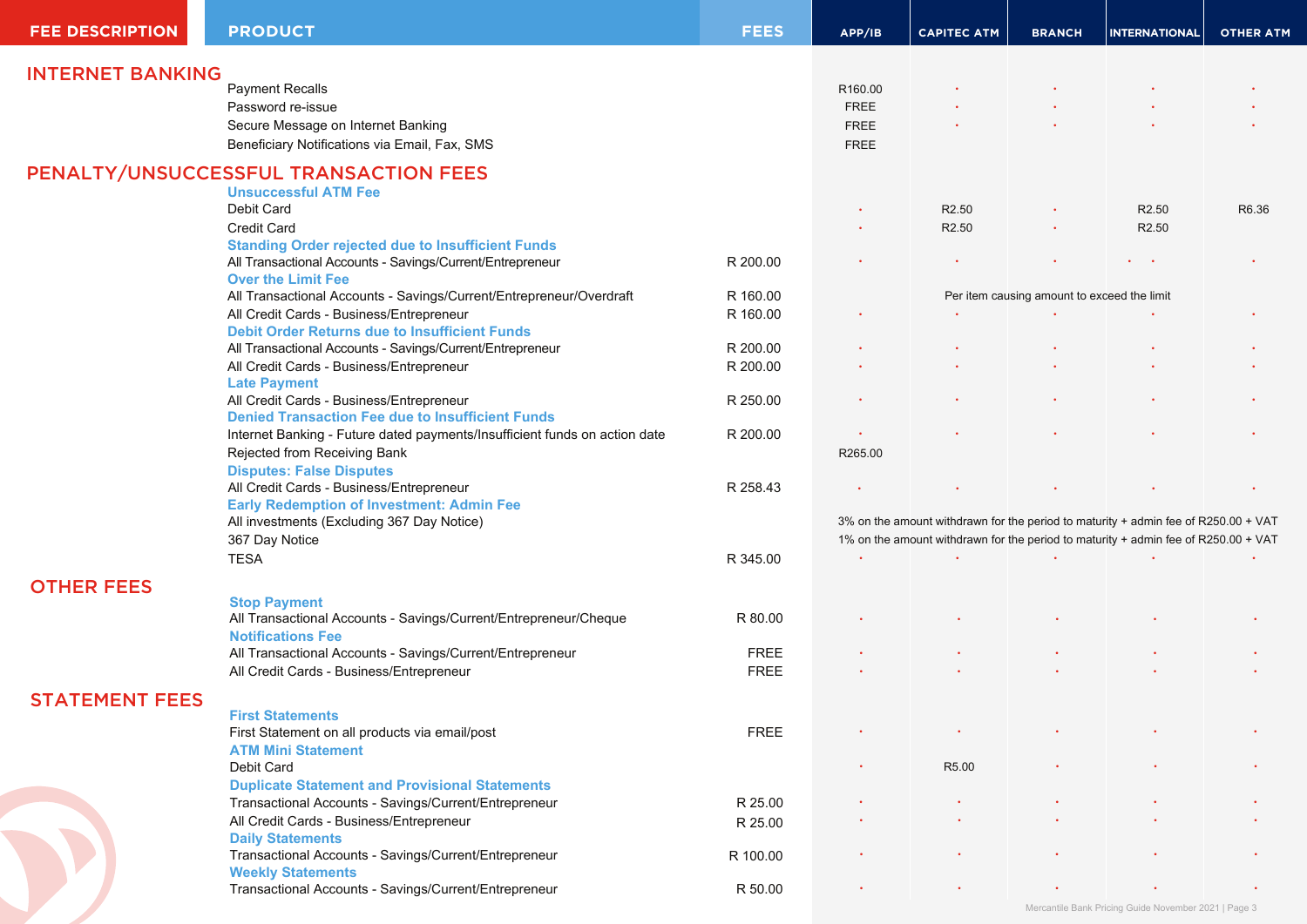| <b>FEE DESCRIPTION</b>  | <b>PRODUCT</b>                                                             | <b>FEES</b> | APP/IB                                                                                                                                                                   | <b>CAPITEC ATM</b> | <b>BRANCH</b>                               | <b>INTERNATIONAL</b>                                 | <b>OTHER ATM</b> |
|-------------------------|----------------------------------------------------------------------------|-------------|--------------------------------------------------------------------------------------------------------------------------------------------------------------------------|--------------------|---------------------------------------------|------------------------------------------------------|------------------|
| <b>INTERNET BANKING</b> |                                                                            |             |                                                                                                                                                                          |                    |                                             |                                                      |                  |
|                         | <b>Payment Recalls</b>                                                     |             | R160.00                                                                                                                                                                  |                    |                                             |                                                      |                  |
|                         | Password re-issue                                                          |             | <b>FREE</b>                                                                                                                                                              |                    |                                             |                                                      |                  |
|                         | Secure Message on Internet Banking                                         |             | <b>FREE</b>                                                                                                                                                              |                    |                                             |                                                      |                  |
|                         | Beneficiary Notifications via Email, Fax, SMS                              |             | <b>FREE</b>                                                                                                                                                              |                    |                                             |                                                      |                  |
|                         | PENALTY/UNSUCCESSFUL TRANSACTION FEES                                      |             |                                                                                                                                                                          |                    |                                             |                                                      |                  |
|                         | <b>Unsuccessful ATM Fee</b>                                                |             |                                                                                                                                                                          |                    |                                             |                                                      |                  |
|                         | Debit Card                                                                 |             |                                                                                                                                                                          | R <sub>2.50</sub>  |                                             | R <sub>2.50</sub>                                    | R6.36            |
|                         | <b>Credit Card</b>                                                         |             |                                                                                                                                                                          | R <sub>2.50</sub>  | $\bullet$                                   | R <sub>2.50</sub>                                    |                  |
|                         | <b>Standing Order rejected due to Insufficient Funds</b>                   |             |                                                                                                                                                                          |                    |                                             |                                                      |                  |
|                         | All Transactional Accounts - Savings/Current/Entrepreneur                  | R 200.00    |                                                                                                                                                                          |                    |                                             | $\mathbf{r} = \mathbf{r} \cdot \mathbf{r}$           |                  |
|                         | <b>Over the Limit Fee</b>                                                  |             |                                                                                                                                                                          |                    |                                             |                                                      |                  |
|                         | All Transactional Accounts - Savings/Current/Entrepreneur/Overdraft        | R 160.00    |                                                                                                                                                                          |                    | Per item causing amount to exceed the limit |                                                      |                  |
|                         | All Credit Cards - Business/Entrepreneur                                   | R 160.00    |                                                                                                                                                                          |                    |                                             |                                                      |                  |
|                         | <b>Debit Order Returns due to Insufficient Funds</b>                       |             |                                                                                                                                                                          |                    |                                             |                                                      |                  |
|                         | All Transactional Accounts - Savings/Current/Entrepreneur                  | R 200.00    |                                                                                                                                                                          |                    |                                             |                                                      |                  |
|                         | All Credit Cards - Business/Entrepreneur                                   | R 200.00    |                                                                                                                                                                          |                    |                                             |                                                      |                  |
|                         | <b>Late Payment</b>                                                        |             |                                                                                                                                                                          |                    |                                             |                                                      |                  |
|                         | All Credit Cards - Business/Entrepreneur                                   | R 250.00    |                                                                                                                                                                          |                    |                                             |                                                      |                  |
|                         | <b>Denied Transaction Fee due to Insufficient Funds</b>                    |             |                                                                                                                                                                          |                    |                                             |                                                      |                  |
|                         | Internet Banking - Future dated payments/Insufficient funds on action date | R 200.00    |                                                                                                                                                                          |                    |                                             |                                                      |                  |
|                         | Rejected from Receiving Bank                                               |             | R265.00                                                                                                                                                                  |                    |                                             |                                                      |                  |
|                         | <b>Disputes: False Disputes</b>                                            |             |                                                                                                                                                                          |                    |                                             |                                                      |                  |
|                         | All Credit Cards - Business/Entrepreneur                                   | R 258.43    |                                                                                                                                                                          |                    |                                             |                                                      |                  |
|                         | <b>Early Redemption of Investment: Admin Fee</b>                           |             |                                                                                                                                                                          |                    |                                             |                                                      |                  |
|                         | All investments (Excluding 367 Day Notice)                                 |             | 3% on the amount withdrawn for the period to maturity + admin fee of R250.00 + VAT<br>1% on the amount withdrawn for the period to maturity + admin fee of R250.00 + VAT |                    |                                             |                                                      |                  |
|                         | 367 Day Notice                                                             |             |                                                                                                                                                                          |                    |                                             |                                                      |                  |
|                         | <b>TESA</b>                                                                | R 345.00    |                                                                                                                                                                          |                    |                                             |                                                      |                  |
| <b>OTHER FEES</b>       |                                                                            |             |                                                                                                                                                                          |                    |                                             |                                                      |                  |
|                         | <b>Stop Payment</b>                                                        |             |                                                                                                                                                                          |                    |                                             |                                                      |                  |
|                         | All Transactional Accounts - Savings/Current/Entrepreneur/Cheque           | R 80.00     |                                                                                                                                                                          |                    |                                             |                                                      |                  |
|                         | <b>Notifications Fee</b>                                                   |             |                                                                                                                                                                          |                    |                                             |                                                      |                  |
|                         | All Transactional Accounts - Savings/Current/Entrepreneur                  | <b>FREE</b> |                                                                                                                                                                          |                    |                                             |                                                      |                  |
|                         | All Credit Cards - Business/Entrepreneur                                   | <b>FREE</b> |                                                                                                                                                                          |                    |                                             |                                                      |                  |
| <b>STATEMENT FEES</b>   |                                                                            |             |                                                                                                                                                                          |                    |                                             |                                                      |                  |
|                         | <b>First Statements</b>                                                    |             |                                                                                                                                                                          |                    |                                             |                                                      |                  |
|                         | First Statement on all products via email/post                             | <b>FREE</b> |                                                                                                                                                                          |                    |                                             |                                                      |                  |
|                         | <b>ATM Mini Statement</b>                                                  |             |                                                                                                                                                                          |                    |                                             |                                                      |                  |
|                         | Debit Card                                                                 |             |                                                                                                                                                                          | R5.00              |                                             |                                                      |                  |
|                         | <b>Duplicate Statement and Provisional Statements</b>                      |             |                                                                                                                                                                          |                    |                                             |                                                      |                  |
|                         | Transactional Accounts - Savings/Current/Entrepreneur                      | R 25.00     |                                                                                                                                                                          |                    |                                             |                                                      |                  |
|                         | All Credit Cards - Business/Entrepreneur                                   | R 25.00     |                                                                                                                                                                          |                    |                                             |                                                      |                  |
|                         | <b>Daily Statements</b>                                                    |             |                                                                                                                                                                          |                    |                                             |                                                      |                  |
|                         | Transactional Accounts - Savings/Current/Entrepreneur                      | R 100.00    |                                                                                                                                                                          |                    |                                             |                                                      |                  |
|                         | <b>Weekly Statements</b>                                                   |             |                                                                                                                                                                          |                    |                                             |                                                      |                  |
|                         | Transactional Accounts - Savings/Current/Entrepreneur                      | R 50.00     |                                                                                                                                                                          |                    |                                             |                                                      |                  |
|                         |                                                                            |             |                                                                                                                                                                          |                    |                                             | Mercantile Bank Pricing Guide November 2021   Page 3 |                  |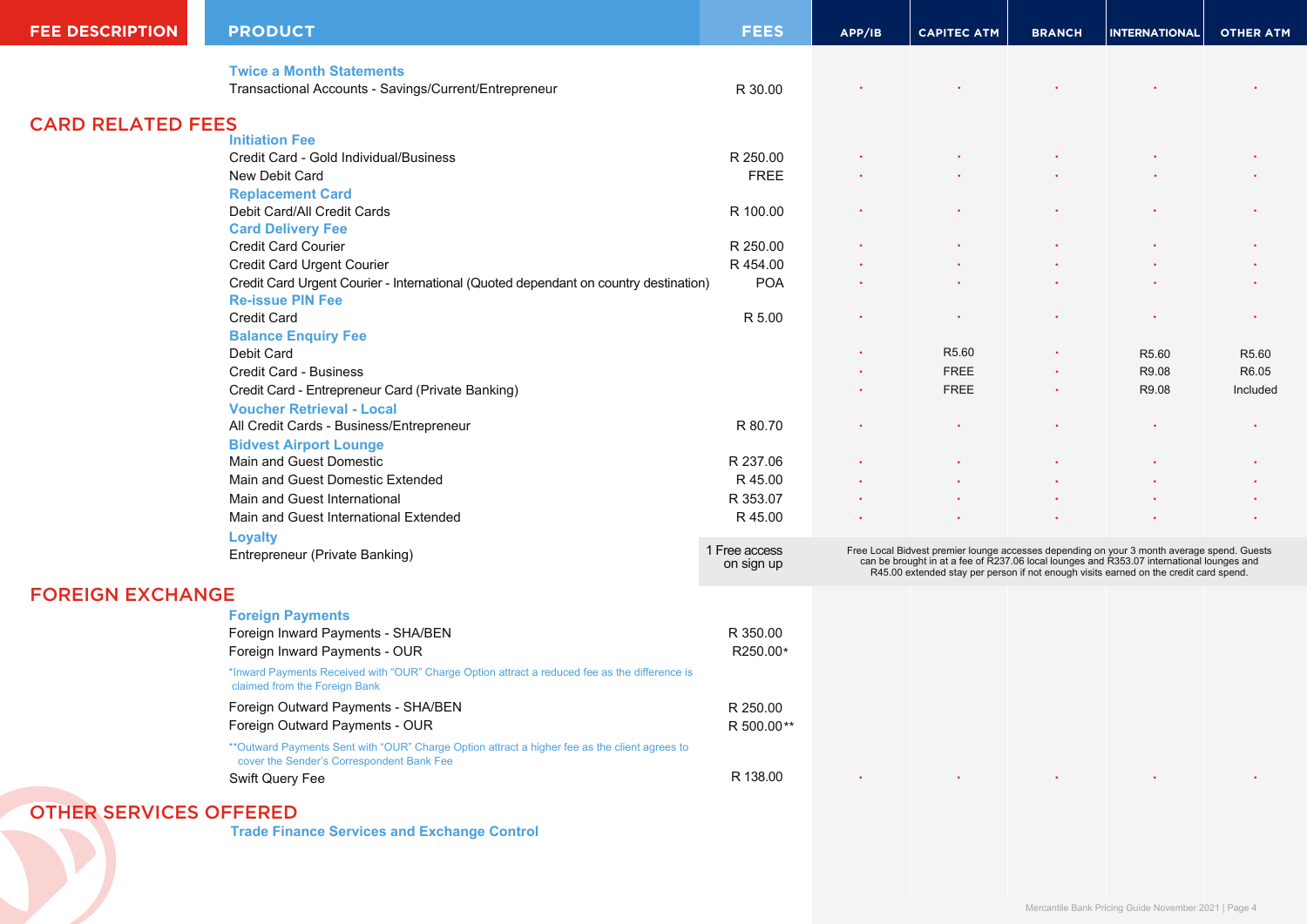| <b>FEE DESCRIPTION</b>        | <b>PRODUCT</b>                                                                                                                              | <b>FEES</b>                 | APP/IB                                                                                                                                                                                                                                                                        | <b>CAPITEC ATM</b> | <b>BRANCH</b> | <b>INTERNATIONAL</b>                                 | <b>OTHER ATM</b> |
|-------------------------------|---------------------------------------------------------------------------------------------------------------------------------------------|-----------------------------|-------------------------------------------------------------------------------------------------------------------------------------------------------------------------------------------------------------------------------------------------------------------------------|--------------------|---------------|------------------------------------------------------|------------------|
|                               | <b>Twice a Month Statements</b>                                                                                                             |                             |                                                                                                                                                                                                                                                                               |                    |               |                                                      |                  |
|                               | Transactional Accounts - Savings/Current/Entrepreneur                                                                                       | R 30.00                     |                                                                                                                                                                                                                                                                               |                    |               |                                                      |                  |
| <b>CARD RELATED FEES</b>      |                                                                                                                                             |                             |                                                                                                                                                                                                                                                                               |                    |               |                                                      |                  |
|                               | <b>Initiation Fee</b>                                                                                                                       |                             |                                                                                                                                                                                                                                                                               |                    |               |                                                      |                  |
|                               | Credit Card - Gold Individual/Business                                                                                                      | R 250.00                    |                                                                                                                                                                                                                                                                               |                    |               |                                                      |                  |
|                               | New Debit Card                                                                                                                              | <b>FREE</b>                 |                                                                                                                                                                                                                                                                               |                    |               |                                                      |                  |
|                               | <b>Replacement Card</b>                                                                                                                     |                             |                                                                                                                                                                                                                                                                               |                    |               |                                                      |                  |
|                               | Debit Card/All Credit Cards                                                                                                                 | R 100.00                    |                                                                                                                                                                                                                                                                               |                    |               |                                                      |                  |
|                               | <b>Card Delivery Fee</b>                                                                                                                    |                             |                                                                                                                                                                                                                                                                               |                    |               |                                                      |                  |
|                               | <b>Credit Card Courier</b>                                                                                                                  | R 250.00                    |                                                                                                                                                                                                                                                                               |                    |               |                                                      |                  |
|                               | Credit Card Urgent Courier                                                                                                                  | R 454.00                    |                                                                                                                                                                                                                                                                               |                    |               |                                                      |                  |
|                               | Credit Card Urgent Courier - International (Quoted dependant on country destination)<br><b>Re-issue PIN Fee</b>                             | <b>POA</b>                  |                                                                                                                                                                                                                                                                               |                    |               |                                                      |                  |
|                               | Credit Card                                                                                                                                 | R 5.00                      |                                                                                                                                                                                                                                                                               |                    |               |                                                      |                  |
|                               | <b>Balance Enquiry Fee</b>                                                                                                                  |                             |                                                                                                                                                                                                                                                                               |                    |               |                                                      |                  |
|                               | Debit Card                                                                                                                                  |                             |                                                                                                                                                                                                                                                                               | R <sub>5.60</sub>  |               | R5.60                                                | R5.60            |
|                               | Credit Card - Business                                                                                                                      |                             |                                                                                                                                                                                                                                                                               | <b>FREE</b>        |               | R9.08                                                | R6.05            |
|                               | Credit Card - Entrepreneur Card (Private Banking)                                                                                           |                             |                                                                                                                                                                                                                                                                               | <b>FREE</b>        |               | R9.08                                                | Included         |
|                               | <b>Voucher Retrieval - Local</b>                                                                                                            |                             |                                                                                                                                                                                                                                                                               |                    |               |                                                      |                  |
|                               | All Credit Cards - Business/Entrepreneur                                                                                                    | R 80.70                     |                                                                                                                                                                                                                                                                               |                    |               |                                                      |                  |
|                               | <b>Bidvest Airport Lounge</b>                                                                                                               |                             |                                                                                                                                                                                                                                                                               |                    |               |                                                      |                  |
|                               | Main and Guest Domestic                                                                                                                     | R 237.06                    |                                                                                                                                                                                                                                                                               |                    |               |                                                      |                  |
|                               | Main and Guest Domestic Extended                                                                                                            | R 45.00                     |                                                                                                                                                                                                                                                                               |                    |               |                                                      |                  |
|                               | Main and Guest International                                                                                                                | R 353.07                    |                                                                                                                                                                                                                                                                               |                    |               |                                                      |                  |
|                               | Main and Guest International Extended                                                                                                       | R 45.00                     |                                                                                                                                                                                                                                                                               |                    |               |                                                      |                  |
|                               | <b>Loyalty</b>                                                                                                                              |                             |                                                                                                                                                                                                                                                                               |                    |               |                                                      |                  |
|                               | Entrepreneur (Private Banking)                                                                                                              | 1 Free access<br>on sign up | Free Local Bidvest premier lounge accesses depending on your 3 month average spend. Guests can be brought in at a fee of R237.06 local lounges and R353.07 international lounges and<br>R45.00 extended stay per person if not enough visits earned on the credit card spend. |                    |               |                                                      |                  |
| <b>FOREIGN EXCHANGE</b>       |                                                                                                                                             |                             |                                                                                                                                                                                                                                                                               |                    |               |                                                      |                  |
|                               | <b>Foreign Payments</b>                                                                                                                     |                             |                                                                                                                                                                                                                                                                               |                    |               |                                                      |                  |
|                               | Foreign Inward Payments - SHA/BEN                                                                                                           | R 350.00                    |                                                                                                                                                                                                                                                                               |                    |               |                                                      |                  |
|                               | Foreign Inward Payments - OUR                                                                                                               | R250.00*                    |                                                                                                                                                                                                                                                                               |                    |               |                                                      |                  |
|                               | *Inward Payments Received with "OUR" Charge Option attract a reduced fee as the difference is<br>claimed from the Foreign Bank              |                             |                                                                                                                                                                                                                                                                               |                    |               |                                                      |                  |
|                               | Foreign Outward Payments - SHA/BEN                                                                                                          | R 250.00                    |                                                                                                                                                                                                                                                                               |                    |               |                                                      |                  |
|                               | Foreign Outward Payments - OUR                                                                                                              | R 500.00**                  |                                                                                                                                                                                                                                                                               |                    |               |                                                      |                  |
|                               | ** Outward Payments Sent with "OUR" Charge Option attract a higher fee as the client agrees to<br>cover the Sender's Correspondent Bank Fee |                             |                                                                                                                                                                                                                                                                               |                    |               |                                                      |                  |
|                               | Swift Query Fee                                                                                                                             | R 138.00                    |                                                                                                                                                                                                                                                                               |                    |               |                                                      |                  |
|                               |                                                                                                                                             |                             |                                                                                                                                                                                                                                                                               |                    |               |                                                      |                  |
| <b>OTHER SERVICES OFFERED</b> |                                                                                                                                             |                             |                                                                                                                                                                                                                                                                               |                    |               |                                                      |                  |
|                               | <b>Trade Finance Services and Exchange Control</b>                                                                                          |                             |                                                                                                                                                                                                                                                                               |                    |               |                                                      |                  |
|                               |                                                                                                                                             |                             |                                                                                                                                                                                                                                                                               |                    |               | Mercantile Bank Pricing Guide November 2021   Page 4 |                  |